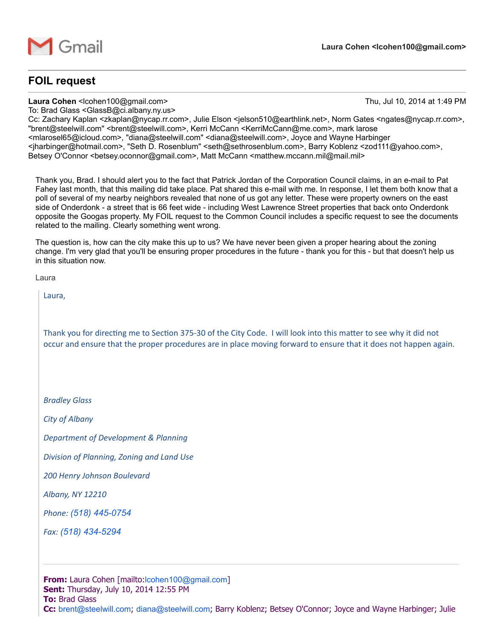

## FOIL request

Laura Cohen <lcohen100@gmail.com> Thu, Jul 10, 2014 at 1:49 PM

To: Brad Glass <GlassB@ci.albany.ny.us>

Cc: Zachary Kaplan <zkaplan@nycap.rr.com>, Julie Elson <jelson510@earthlink.net>, Norm Gates <ngates@nycap.rr.com>, "brent@steelwill.com" <brent@steelwill.com>, Kerri McCann <KerriMcCann@me.com>, mark larose <mlarosel65@icloud.com>, "diana@steelwill.com" <diana@steelwill.com>, Joyce and Wayne Harbinger <jharbinger@hotmail.com>, "Seth D. Rosenblum" <seth@sethrosenblum.com>, Barry Koblenz <zod111@yahoo.com>, Betsey O'Connor <betsey.oconnor@gmail.com>, Matt McCann <matthew.mccann.mil@mail.mil>

Thank you, Brad. I should alert you to the fact that Patrick Jordan of the Corporation Council claims, in an e-mail to Pat Fahey last month, that this mailing did take place. Pat shared this e-mail with me. In response, I let them both know that a poll of several of my nearby neighbors revealed that none of us got any letter. These were property owners on the east side of Onderdonk - a street that is 66 feet wide - including West Lawrence Street properties that back onto Onderdonk opposite the Googas property. My FOIL request to the Common Council includes a specific request to see the documents related to the mailing. Clearly something went wrong.

The question is, how can the city make this up to us? We have never been given a proper hearing about the zoning change. I'm very glad that you'll be ensuring proper procedures in the future - thank you for this - but that doesn't help us in this situation now.

Laura

Laura,

Thank you for directing me to Section 375-30 of the City Code. I will look into this matter to see why it did not occur and ensure that the proper procedures are in place moving forward to ensure that it does not happen again.

*Bradley Glass*

*City of Albany*

*Department of Development & Planning*

*Division of Planning, Zoning and Land Use*

*200 Henry Johnson Boulevard*

*Albany, NY 12210*

*Phone: (518) [4450754](tel:%28518%29%20445-0754)*

*Fax:* (518) 434-5294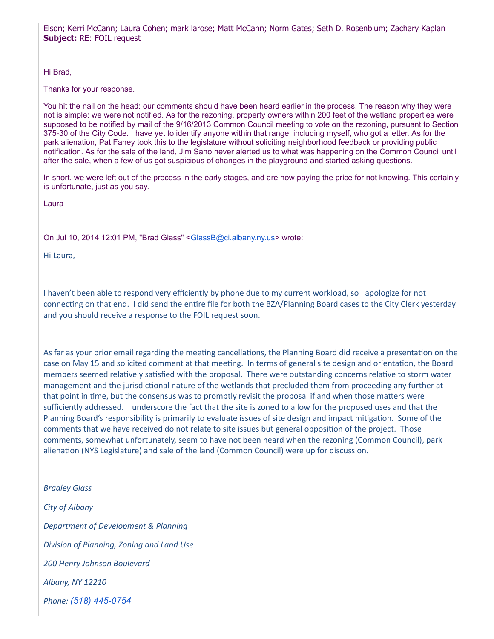Elson; Kerri McCann; Laura Cohen; mark larose; Matt McCann; Norm Gates; Seth D. Rosenblum; Zachary Kaplan **Subject: RE: FOIL request** 

Hi Brad,

Thanks for your response.

You hit the nail on the head: our comments should have been heard earlier in the process. The reason why they were not is simple: we were not notified. As for the rezoning, property owners within 200 feet of the wetland properties were supposed to be notified by mail of the 9/16/2013 Common Council meeting to vote on the rezoning, pursuant to Section 37530 of the City Code. I have yet to identify anyone within that range, including myself, who got a letter. As for the park alienation, Pat Fahey took this to the legislature without soliciting neighborhood feedback or providing public notification. As for the sale of the land, Jim Sano never alerted us to what was happening on the Common Council until after the sale, when a few of us got suspicious of changes in the playground and started asking questions.

In short, we were left out of the process in the early stages, and are now paying the price for not knowing. This certainly is unfortunate, just as you say.

Laura

On Jul 10, 2014 12:01 PM, "Brad Glass" [<GlassB@ci.albany.ny.us>](mailto:GlassB@ci.albany.ny.us) wrote:

Hi Laura,

I haven't been able to respond very efficiently by phone due to my current workload, so I apologize for not connecting on that end. I did send the entire file for both the BZA/Planning Board cases to the City Clerk yesterday and you should receive a response to the FOIL request soon.

As far as your prior email regarding the meeting cancellations, the Planning Board did receive a presentation on the case on May 15 and solicited comment at that meeting. In terms of general site design and orientation, the Board members seemed relatively satisfied with the proposal. There were outstanding concerns relative to storm water management and the jurisdictional nature of the wetlands that precluded them from proceeding any further at that point in time, but the consensus was to promptly revisit the proposal if and when those matters were sufficiently addressed. I underscore the fact that the site is zoned to allow for the proposed uses and that the Planning Board's responsibility is primarily to evaluate issues of site design and impact mitigation. Some of the comments that we have received do not relate to site issues but general opposition of the project. Those comments, somewhat unfortunately, seem to have not been heard when the rezoning (Common Council), park alienation (NYS Legislature) and sale of the land (Common Council) were up for discussion.

*Bradley Glass*

*City of Albany Department of Development & Planning Division of Planning, Zoning and Land Use 200 Henry Johnson Boulevard Albany, NY 12210 Phone: (518) [4450754](tel:%28518%29%20445-0754)*